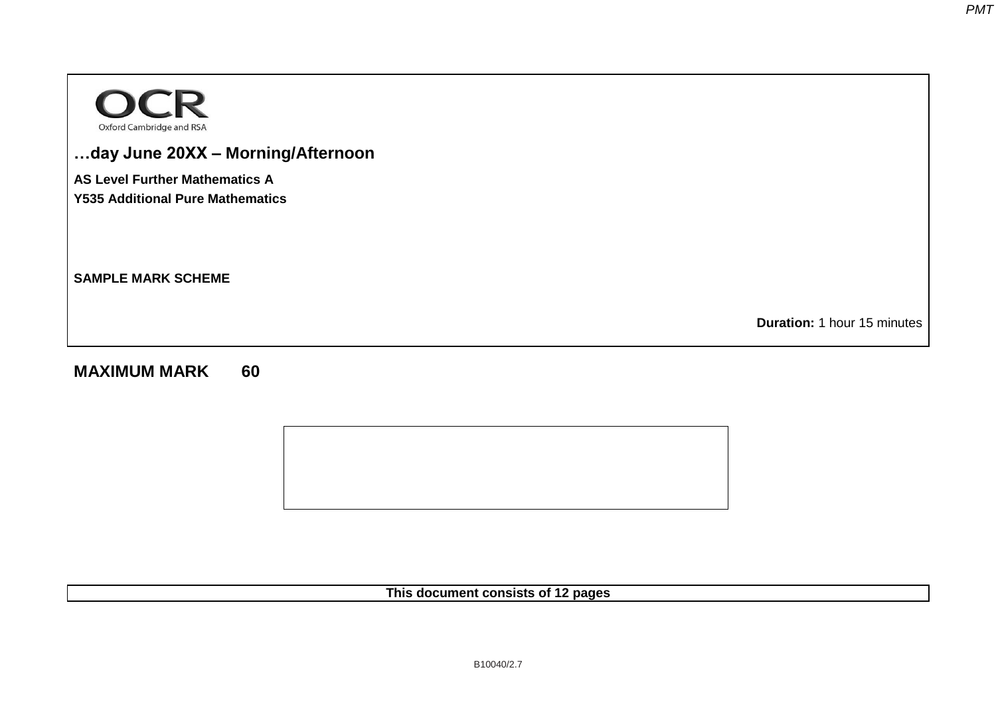

# **…day June 20XX – Morning/Afternoon**

**AS Level Further Mathematics A**

**Y535 Additional Pure Mathematics** 

**SAMPLE MARK SCHEME** 

**Duration:** 1 hour 15 minutes

# **MAXIMUM MARK 60**



**This document consists of 12 pages**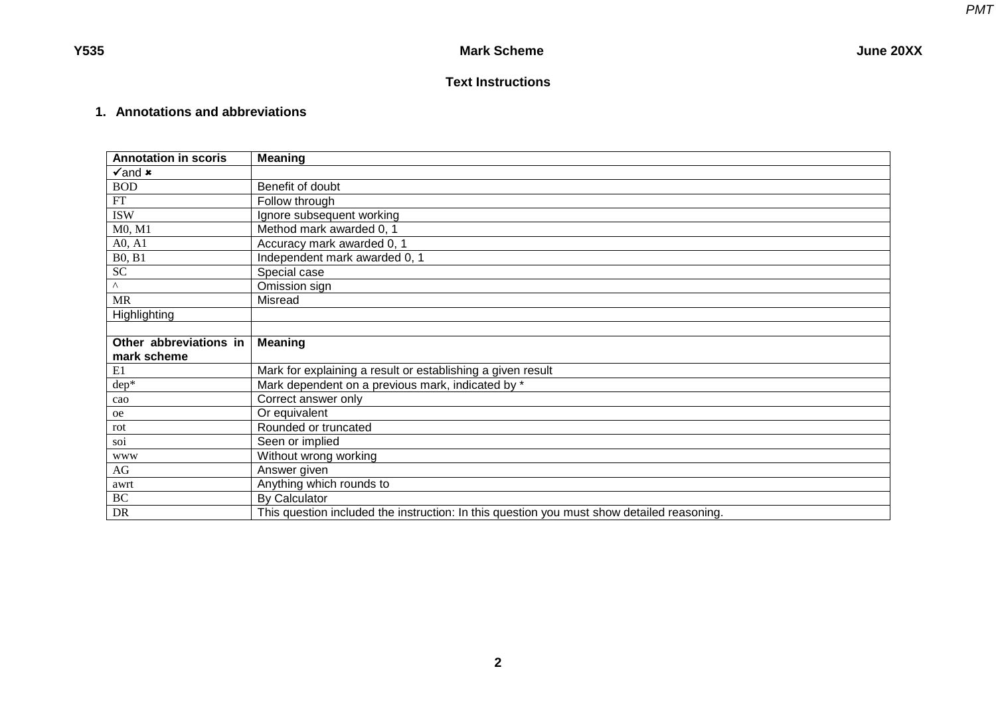# **Text Instructions**

# **1. Annotations and abbreviations**

| <b>Annotation in scoris</b> | <b>Meaning</b>                                                                             |
|-----------------------------|--------------------------------------------------------------------------------------------|
| $\sqrt{2}$ and $\bm{x}$     |                                                                                            |
| <b>BOD</b>                  | Benefit of doubt                                                                           |
| ${\rm FT}$                  | Follow through                                                                             |
| <b>ISW</b>                  | Ignore subsequent working                                                                  |
| M0, M1                      | Method mark awarded 0, 1                                                                   |
| A0, A1                      | Accuracy mark awarded 0, 1                                                                 |
| <b>B0, B1</b>               | Independent mark awarded 0, 1                                                              |
| ${\rm SC}$                  | Special case                                                                               |
| $\wedge$                    | Omission sign                                                                              |
| <b>MR</b>                   | Misread                                                                                    |
| Highlighting                |                                                                                            |
|                             |                                                                                            |
| Other abbreviations in      | <b>Meaning</b>                                                                             |
| mark scheme                 |                                                                                            |
| E1                          | Mark for explaining a result or establishing a given result                                |
| $dep*$                      | Mark dependent on a previous mark, indicated by *                                          |
| cao                         | Correct answer only                                                                        |
| oe                          | Or equivalent                                                                              |
| rot                         | Rounded or truncated                                                                       |
| soi                         | Seen or implied                                                                            |
| <b>WWW</b>                  | Without wrong working                                                                      |
| AG                          | Answer given                                                                               |
| awrt                        | Anything which rounds to                                                                   |
| $\rm BC$                    | By Calculator                                                                              |
| DR                          | This question included the instruction: In this question you must show detailed reasoning. |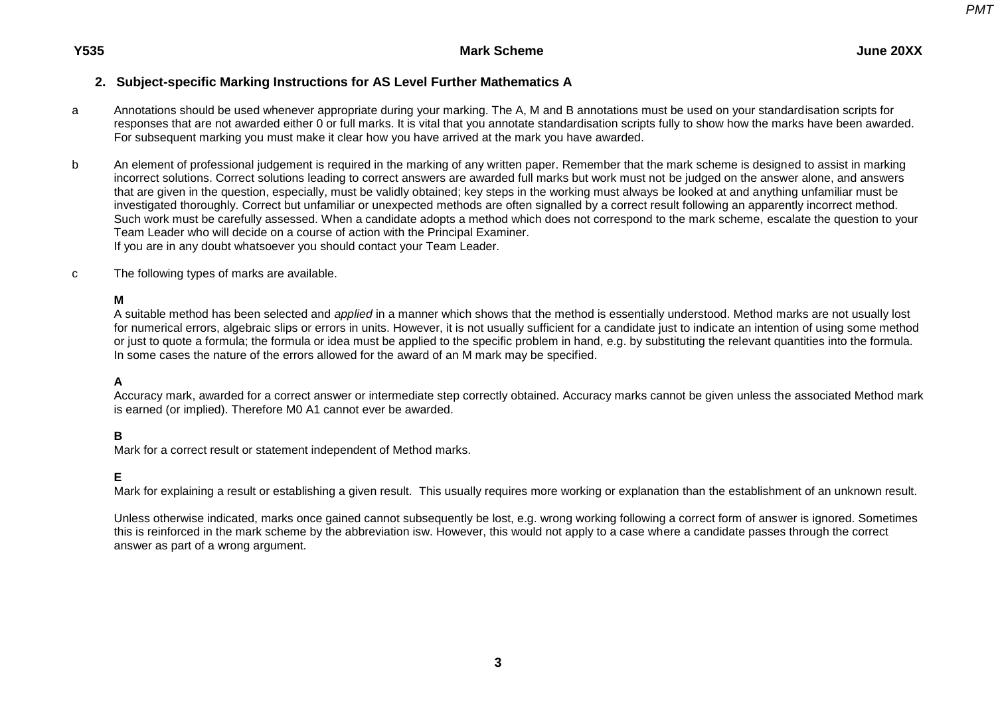# **2. Subject-specific Marking Instructions for AS Level Further Mathematics A**

- a Annotations should be used whenever appropriate during your marking. The A, M and B annotations must be used on your standardisation scripts for responses that are not awarded either 0 or full marks. It is vital that you annotate standardisation scripts fully to show how the marks have been awarded. For subsequent marking you must make it clear how you have arrived at the mark you have awarded.
- b An element of professional judgement is required in the marking of any written paper. Remember that the mark scheme is designed to assist in marking incorrect solutions. Correct solutions leading to correct answers are awarded full marks but work must not be judged on the answer alone, and answers that are given in the question, especially, must be validly obtained; key steps in the working must always be looked at and anything unfamiliar must be investigated thoroughly. Correct but unfamiliar or unexpected methods are often signalled by a correct result following an apparently incorrect method. Such work must be carefully assessed. When a candidate adopts a method which does not correspond to the mark scheme, escalate the question to your Team Leader who will decide on a course of action with the Principal Examiner. If you are in any doubt whatsoever you should contact your Team Leader.
- c The following types of marks are available.

## **M**

A suitable method has been selected and *applied* in a manner which shows that the method is essentially understood. Method marks are not usually lost for numerical errors, algebraic slips or errors in units. However, it is not usually sufficient for a candidate just to indicate an intention of using some method or just to quote a formula; the formula or idea must be applied to the specific problem in hand, e.g. by substituting the relevant quantities into the formula. In some cases the nature of the errors allowed for the award of an M mark may be specified.

## **A**

Accuracy mark, awarded for a correct answer or intermediate step correctly obtained. Accuracy marks cannot be given unless the associated Method mark is earned (or implied). Therefore M0 A1 cannot ever be awarded.

# **B**

Mark for a correct result or statement independent of Method marks.

## **E**

Mark for explaining a result or establishing a given result. This usually requires more working or explanation than the establishment of an unknown result.

Unless otherwise indicated, marks once gained cannot subsequently be lost, e.g. wrong working following a correct form of answer is ignored. Sometimes this is reinforced in the mark scheme by the abbreviation isw. However, this would not apply to a case where a candidate passes through the correct answer as part of a wrong argument.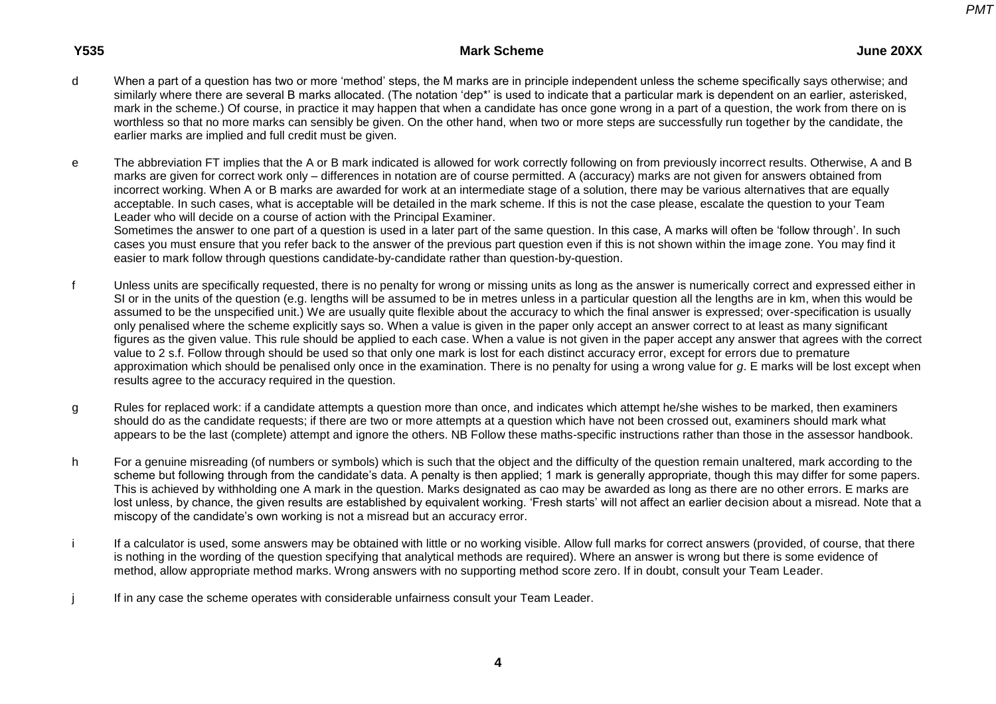### **Y535 Mark Scheme June 20XX**

d When a part of a question has two or more 'method' steps, the M marks are in principle independent unless the scheme specifically says otherwise; and similarly where there are several B marks allocated. (The notation 'dep\*' is used to indicate that a particular mark is dependent on an earlier, asterisked, mark in the scheme.) Of course, in practice it may happen that when a candidate has once gone wrong in a part of a question, the work from there on is worthless so that no more marks can sensibly be given. On the other hand, when two or more steps are successfully run together by the candidate, the earlier marks are implied and full credit must be given.

e The abbreviation FT implies that the A or B mark indicated is allowed for work correctly following on from previously incorrect results. Otherwise, A and B marks are given for correct work only – differences in notation are of course permitted. A (accuracy) marks are not given for answers obtained from incorrect working. When A or B marks are awarded for work at an intermediate stage of a solution, there may be various alternatives that are equally acceptable. In such cases, what is acceptable will be detailed in the mark scheme. If this is not the case please, escalate the question to your Team Leader who will decide on a course of action with the Principal Examiner.

Sometimes the answer to one part of a question is used in a later part of the same question. In this case, A marks will often be 'follow through'. In such cases you must ensure that you refer back to the answer of the previous part question even if this is not shown within the image zone. You may find it easier to mark follow through questions candidate-by-candidate rather than question-by-question.

- f Unless units are specifically requested, there is no penalty for wrong or missing units as long as the answer is numerically correct and expressed either in SI or in the units of the question (e.g. lengths will be assumed to be in metres unless in a particular question all the lengths are in km, when this would be assumed to be the unspecified unit.) We are usually quite flexible about the accuracy to which the final answer is expressed; over-specification is usually only penalised where the scheme explicitly says so. When a value is given in the paper only accept an answer correct to at least as many significant figures as the given value. This rule should be applied to each case. When a value is not given in the paper accept any answer that agrees with the correct value to 2 s.f. Follow through should be used so that only one mark is lost for each distinct accuracy error, except for errors due to premature approximation which should be penalised only once in the examination. There is no penalty for using a wrong value for *g*. E marks will be lost except when results agree to the accuracy required in the question.
- g Rules for replaced work: if a candidate attempts a question more than once, and indicates which attempt he/she wishes to be marked, then examiners should do as the candidate requests; if there are two or more attempts at a question which have not been crossed out, examiners should mark what appears to be the last (complete) attempt and ignore the others. NB Follow these maths-specific instructions rather than those in the assessor handbook.
- h For a genuine misreading (of numbers or symbols) which is such that the object and the difficulty of the question remain unaltered, mark according to the scheme but following through from the candidate's data. A penalty is then applied; 1 mark is generally appropriate, though this may differ for some papers. This is achieved by withholding one A mark in the question. Marks designated as cao may be awarded as long as there are no other errors. E marks are lost unless, by chance, the given results are established by equivalent working. 'Fresh starts' will not affect an earlier decision about a misread. Note that a miscopy of the candidate's own working is not a misread but an accuracy error.
- i If a calculator is used, some answers may be obtained with little or no working visible. Allow full marks for correct answers (provided, of course, that there is nothing in the wording of the question specifying that analytical methods are required). Where an answer is wrong but there is some evidence of method, allow appropriate method marks. Wrong answers with no supporting method score zero. If in doubt, consult your Team Leader.
- j If in any case the scheme operates with considerable unfairness consult your Team Leader.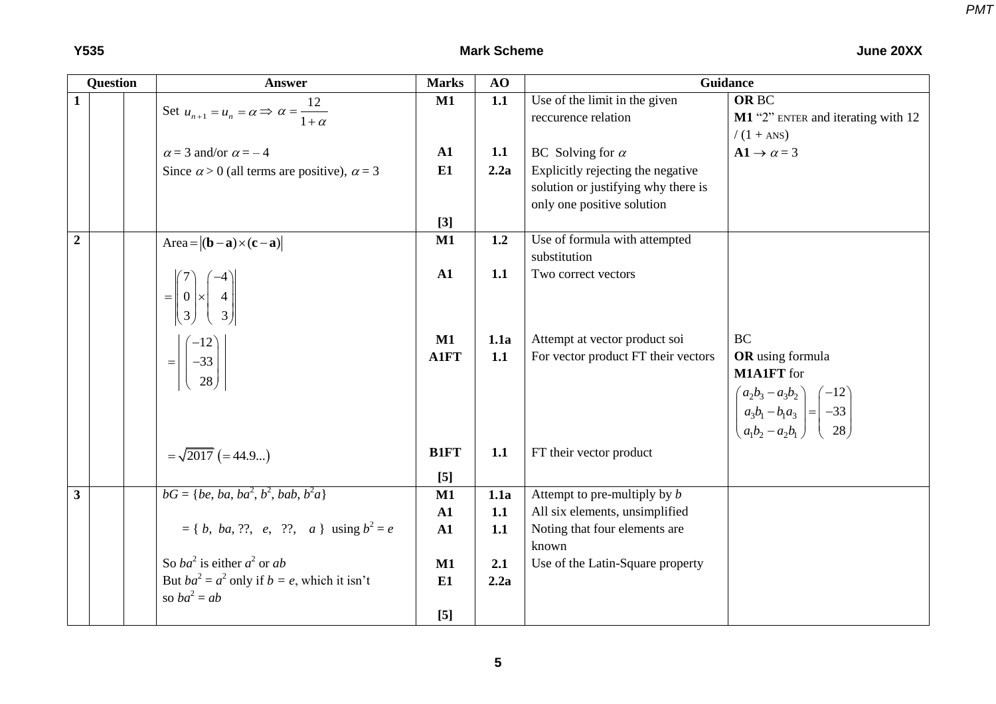|                | <b>Question</b> | <b>Answer</b>                                                                                  | <b>Marks</b>  | AO   | Guidance                            |                                                                                                                                        |  |  |
|----------------|-----------------|------------------------------------------------------------------------------------------------|---------------|------|-------------------------------------|----------------------------------------------------------------------------------------------------------------------------------------|--|--|
| $\mathbf{1}$   |                 |                                                                                                | M1            | 1.1  | Use of the limit in the given       | <b>ORBC</b>                                                                                                                            |  |  |
|                |                 | Set $u_{n+1} = u_n = \alpha \Rightarrow \alpha = \frac{12}{1+\alpha}$                          |               |      | reccurence relation                 | M1 "2" ENTER and iterating with 12                                                                                                     |  |  |
|                |                 |                                                                                                |               |      |                                     | $/(1 + ANS)$                                                                                                                           |  |  |
|                |                 | $\alpha$ = 3 and/or $\alpha$ = -4                                                              | ${\bf A1}$    | 1.1  | BC Solving for $\alpha$             | $A1 \rightarrow \alpha = 3$                                                                                                            |  |  |
|                |                 | Since $\alpha > 0$ (all terms are positive), $\alpha = 3$                                      | E1            | 2.2a | Explicitly rejecting the negative   |                                                                                                                                        |  |  |
|                |                 |                                                                                                |               |      | solution or justifying why there is |                                                                                                                                        |  |  |
|                |                 |                                                                                                |               |      | only one positive solution          |                                                                                                                                        |  |  |
|                |                 |                                                                                                | $[3]$         |      |                                     |                                                                                                                                        |  |  |
| $\overline{2}$ |                 | Area= $ (\mathbf{b}-\mathbf{a})\times(\mathbf{c}-\mathbf{a}) $                                 | M1            | 1.2  | Use of formula with attempted       |                                                                                                                                        |  |  |
|                |                 |                                                                                                |               |      | substitution                        |                                                                                                                                        |  |  |
|                |                 |                                                                                                | ${\bf A1}$    | 1.1  | Two correct vectors                 |                                                                                                                                        |  |  |
|                |                 |                                                                                                |               |      |                                     |                                                                                                                                        |  |  |
|                |                 | $=\begin{bmatrix} 7 \\ 0 \\ 3 \end{bmatrix} \times \begin{bmatrix} -4 \\ 4 \\ 3 \end{bmatrix}$ |               |      |                                     |                                                                                                                                        |  |  |
|                |                 |                                                                                                | $\mathbf{M1}$ | 1.1a | Attempt at vector product soi       | <b>BC</b>                                                                                                                              |  |  |
|                |                 | $=\left \begin{pmatrix} -12 \\ -33 \\ 28 \end{pmatrix}\right $                                 | <b>A1FT</b>   | 1.1  | For vector product FT their vectors | OR using formula                                                                                                                       |  |  |
|                |                 |                                                                                                |               |      |                                     | <b>M1A1FT</b> for                                                                                                                      |  |  |
|                |                 |                                                                                                |               |      |                                     |                                                                                                                                        |  |  |
|                |                 |                                                                                                |               |      |                                     |                                                                                                                                        |  |  |
|                |                 |                                                                                                |               |      |                                     | $\begin{pmatrix} a_2b_3 - a_3b_2 \\ a_3b_1 - b_1a_3 \\ a_1b_2 - a_2b_1 \end{pmatrix} = \begin{pmatrix} -12 \\ -33 \\ 28 \end{pmatrix}$ |  |  |
|                |                 |                                                                                                | <b>B1FT</b>   | 1.1  | FT their vector product             |                                                                                                                                        |  |  |
|                |                 | $=\sqrt{2017}$ (=44.9)                                                                         |               |      |                                     |                                                                                                                                        |  |  |
|                |                 |                                                                                                | $[5]$         |      |                                     |                                                                                                                                        |  |  |
| $\mathbf{3}$   |                 | $bG = \{be, ba, ba^2, b^2, bab, b^2a\}$                                                        | M1            | 1.1a | Attempt to pre-multiply by $b$      |                                                                                                                                        |  |  |
|                |                 |                                                                                                | ${\bf A1}$    | 1.1  | All six elements, unsimplified      |                                                                                                                                        |  |  |
|                |                 | $= \{ b, ba, ?$ ?, e, ??, a } using $b^2 = e$                                                  | ${\bf A1}$    | 1.1  | Noting that four elements are       |                                                                                                                                        |  |  |
|                |                 |                                                                                                |               |      | known                               |                                                                                                                                        |  |  |
|                |                 | So $ba^2$ is either $a^2$ or ab                                                                | M1            | 2.1  | Use of the Latin-Square property    |                                                                                                                                        |  |  |
|                |                 | But $ba^2 = a^2$ only if $b = e$ , which it isn't                                              | E1            | 2.2a |                                     |                                                                                                                                        |  |  |
|                |                 | so $ba^2 = ab$                                                                                 |               |      |                                     |                                                                                                                                        |  |  |
|                |                 |                                                                                                | $[5]$         |      |                                     |                                                                                                                                        |  |  |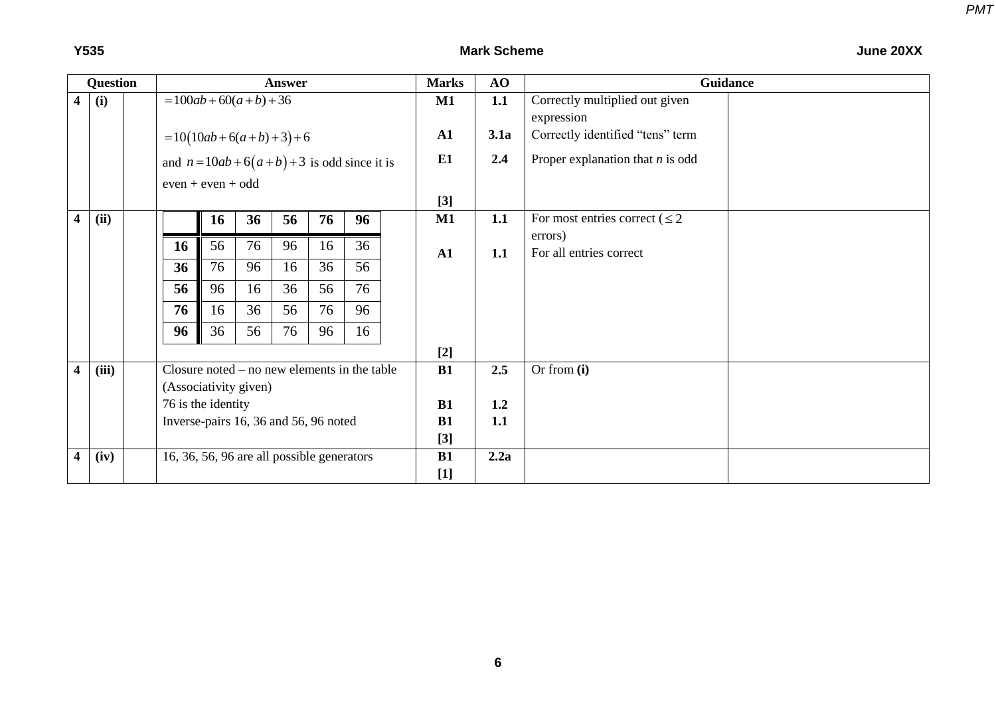|--|

|   | Question |  |                                                                          |                          |    | Answer                                         |       |    | <b>Marks</b> | AO   | <b>Guidance</b>                     |  |
|---|----------|--|--------------------------------------------------------------------------|--------------------------|----|------------------------------------------------|-------|----|--------------|------|-------------------------------------|--|
| 4 | (i)      |  |                                                                          | $= 100ab + 60(a+b) + 36$ |    |                                                |       |    | <b>M1</b>    | 1.1  | Correctly multiplied out given      |  |
|   |          |  |                                                                          |                          |    |                                                |       |    |              |      | expression                          |  |
|   |          |  | $=10(10ab+6(a+b)+3)+6$<br>and $n = 10ab + 6(a+b) + 3$ is odd since it is |                          |    |                                                |       |    | ${\bf A1}$   | 3.1a | Correctly identified "tens" term    |  |
|   |          |  |                                                                          |                          |    |                                                |       |    | E1           | 2.4  | Proper explanation that $n$ is odd  |  |
|   |          |  | $even + even + odd$                                                      |                          |    |                                                |       |    |              |      |                                     |  |
|   |          |  |                                                                          |                          |    |                                                | $[3]$ |    |              |      |                                     |  |
| 4 | (ii)     |  |                                                                          | <b>16</b>                | 36 | 56                                             | 76    | 96 | M1           | 1.1  | For most entries correct ( $\leq 2$ |  |
|   |          |  | <b>16</b>                                                                | 56                       | 76 | 96                                             | 16    | 36 |              |      | errors)                             |  |
|   |          |  |                                                                          |                          |    |                                                |       |    | ${\bf A1}$   | 1.1  | For all entries correct             |  |
|   |          |  | 36                                                                       | 76                       | 96 | 16                                             | 36    | 56 |              |      |                                     |  |
|   |          |  | 56                                                                       | 96                       | 16 | 36                                             | 56    | 76 |              |      |                                     |  |
|   |          |  | 76                                                                       | 16                       | 36 | 56                                             | 76    | 96 |              |      |                                     |  |
|   |          |  | 96                                                                       | 36                       | 56 | 76                                             | 96    | 16 |              |      |                                     |  |
|   |          |  |                                                                          |                          |    |                                                |       |    | $[2]$        |      |                                     |  |
| 4 | (iii)    |  |                                                                          |                          |    | Closure noted $-$ no new elements in the table |       |    | B1           | 2.5  | Or from $(i)$                       |  |
|   |          |  |                                                                          | (Associativity given)    |    |                                                |       |    |              |      |                                     |  |
|   |          |  |                                                                          | 76 is the identity       |    |                                                |       |    | B1           | 1.2  |                                     |  |
|   |          |  | Inverse-pairs 16, 36 and 56, 96 noted                                    |                          |    |                                                |       |    | B1           | 1.1  |                                     |  |
|   |          |  |                                                                          |                          |    |                                                |       |    | $[3]$        |      |                                     |  |
| 4 | (iv)     |  |                                                                          |                          |    | 16, 36, 56, 96 are all possible generators     |       |    | <b>B1</b>    | 2.2a |                                     |  |
|   |          |  |                                                                          |                          |    |                                                |       |    | $[1]$        |      |                                     |  |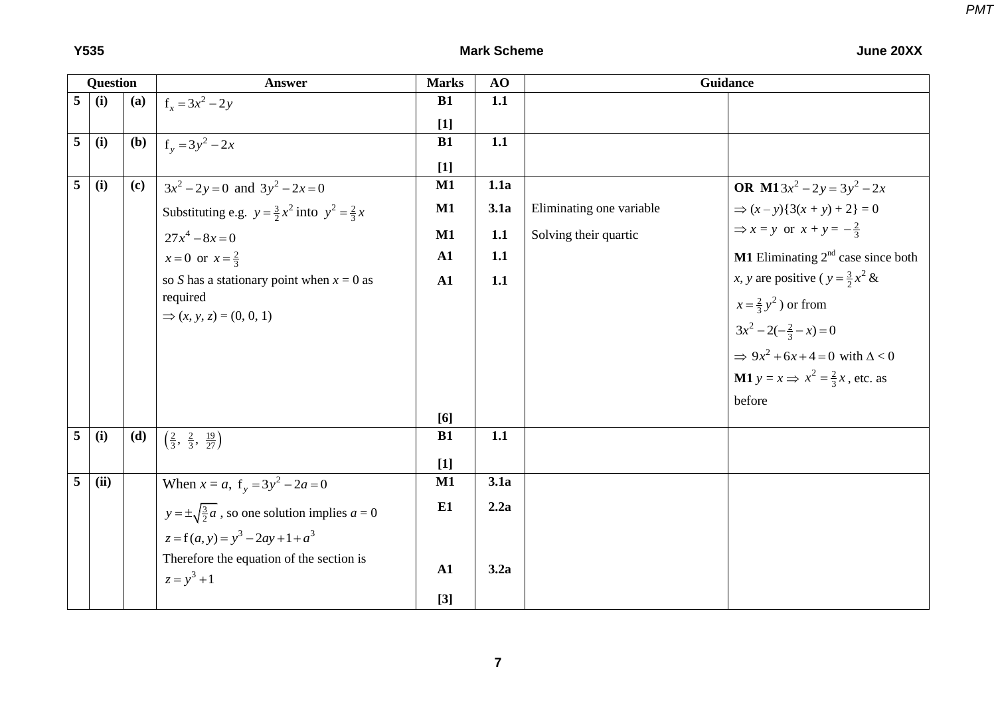|   | <b>Question</b> |     | <b>Answer</b>                                                    | <b>Marks</b> | AO   | <b>Guidance</b>          |                                                         |  |  |  |
|---|-----------------|-----|------------------------------------------------------------------|--------------|------|--------------------------|---------------------------------------------------------|--|--|--|
| 5 | (i)             | (a) | $f_r = 3x^2 - 2y$                                                | <b>B1</b>    | 1.1  |                          |                                                         |  |  |  |
|   |                 |     |                                                                  | $[1]$        |      |                          |                                                         |  |  |  |
| 5 | (i)             | (b) | $f_y = 3y^2 - 2x$                                                | <b>B1</b>    | 1.1  |                          |                                                         |  |  |  |
|   |                 |     |                                                                  | $[1]$        |      |                          |                                                         |  |  |  |
| 5 | (i)             | (c) | $3x^2 - 2y = 0$ and $3y^2 - 2x = 0$                              | M1           | 1.1a |                          | <b>OR</b> M13 $x^2 - 2y = 3y^2 - 2x$                    |  |  |  |
|   |                 |     | Substituting e.g. $y = \frac{3}{2}x^2$ into $y^2 = \frac{2}{3}x$ | M1           | 3.1a | Eliminating one variable | $\Rightarrow (x - y)\{3(x + y) + 2\} = 0$               |  |  |  |
|   |                 |     | $27x^4 - 8x = 0$                                                 | M1           | 1.1  | Solving their quartic    | $\Rightarrow$ x = y or x + y = $-\frac{2}{3}$           |  |  |  |
|   |                 |     | $x = 0$ or $x = \frac{2}{3}$                                     | ${\bf A1}$   | 1.1  |                          | <b>M1</b> Eliminating $2nd$ case since both             |  |  |  |
|   |                 |     | so S has a stationary point when $x = 0$ as                      | A1           | 1.1  |                          | x, y are positive ( $y = \frac{3}{2}x^2$ &              |  |  |  |
|   |                 |     | required                                                         |              |      |                          | $x=\frac{2}{3}y^2$ ) or from                            |  |  |  |
|   |                 |     | $\Rightarrow (x, y, z) = (0, 0, 1)$                              |              |      |                          | $3x^2-2(-\frac{2}{3}-x)=0$                              |  |  |  |
|   |                 |     |                                                                  |              |      |                          | $\Rightarrow 9x^2 + 6x + 4 = 0$ with $\Delta < 0$       |  |  |  |
|   |                 |     |                                                                  |              |      |                          | <b>M1</b> $y = x \implies x^2 = \frac{2}{3}x$ , etc. as |  |  |  |
|   |                 |     |                                                                  |              |      |                          | before                                                  |  |  |  |
|   |                 |     |                                                                  | [6]          |      |                          |                                                         |  |  |  |
| 5 | (i)             | (d) | $\left(\frac{2}{3}, \frac{2}{3}, \frac{19}{27}\right)$           | <b>B1</b>    | 1.1  |                          |                                                         |  |  |  |
|   |                 |     |                                                                  | $[1]$        |      |                          |                                                         |  |  |  |
| 5 | (ii)            |     | When $x = a$ , $f_y = 3y^2 - 2a = 0$                             | $M1$         | 3.1a |                          |                                                         |  |  |  |
|   |                 |     | $y = \pm \sqrt{\frac{3}{2}a}$ , so one solution implies $a = 0$  | E1           | 2.2a |                          |                                                         |  |  |  |
|   |                 |     | $z = f(a, y) = y^3 - 2ay + 1 + a^3$                              |              |      |                          |                                                         |  |  |  |
|   |                 |     | Therefore the equation of the section is<br>$z = y^3 + 1$        | A1           | 3.2a |                          |                                                         |  |  |  |
|   |                 |     |                                                                  | $[3]$        |      |                          |                                                         |  |  |  |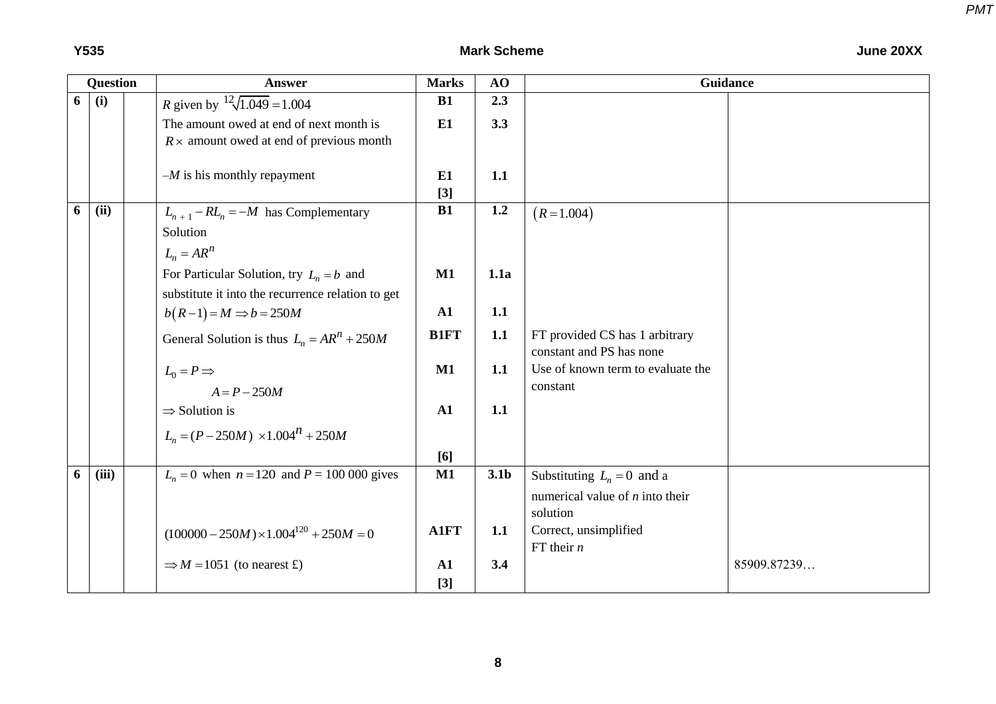### **Y535 Mark Scheme June 20XX**

|   | <b>Question</b> | <b>Answer</b>                                     | <b>Marks</b>  | AO               | <b>Guidance</b>                   |             |
|---|-----------------|---------------------------------------------------|---------------|------------------|-----------------------------------|-------------|
| 6 | (i)             | <i>R</i> given by $12\sqrt{1.049} = 1.004$        | <b>B1</b>     | 2.3              |                                   |             |
|   |                 | The amount owed at end of next month is           | E1            | 3.3              |                                   |             |
|   |                 | $R \times$ amount owed at end of previous month   |               |                  |                                   |             |
|   |                 |                                                   |               |                  |                                   |             |
|   |                 | $-M$ is his monthly repayment                     | E1            | 1.1              |                                   |             |
|   |                 |                                                   | $[3]$         |                  |                                   |             |
| 6 | (ii)            | $L_{n+1} - R L_n = -M$ has Complementary          | <b>B1</b>     | 1.2              | $(R = 1.004)$                     |             |
|   |                 | Solution                                          |               |                  |                                   |             |
|   |                 | $L_n = AR^n$                                      |               |                  |                                   |             |
|   |                 | For Particular Solution, try $L_n = b$ and        | M1            | 1.1a             |                                   |             |
|   |                 | substitute it into the recurrence relation to get |               |                  |                                   |             |
|   |                 | $b(R-1) = M \Rightarrow b = 250M$                 | ${\bf A1}$    | 1.1              |                                   |             |
|   |                 |                                                   | <b>B1FT</b>   | 1.1              | FT provided CS has 1 arbitrary    |             |
|   |                 | General Solution is thus $L_n = AR^n + 250M$      |               |                  | constant and PS has none          |             |
|   |                 | $L_0 = P \Rightarrow$                             | M1            | 1.1              | Use of known term to evaluate the |             |
|   |                 | $A = P - 250M$                                    |               |                  | constant                          |             |
|   |                 | $\Rightarrow$ Solution is                         | A1            | 1.1              |                                   |             |
|   |                 |                                                   |               |                  |                                   |             |
|   |                 | $L_n = (P - 250M) \times 1.004^h + 250M$          |               |                  |                                   |             |
|   |                 |                                                   | [6]           |                  |                                   |             |
| 6 | (iii)           | $L_n = 0$ when $n = 120$ and $P = 100 000$ gives  | $\mathbf{M1}$ | 3.1 <sub>b</sub> | Substituting $L_n = 0$ and a      |             |
|   |                 |                                                   |               |                  | numerical value of $n$ into their |             |
|   |                 |                                                   |               |                  | solution                          |             |
|   |                 | $(100000 - 250M) \times 1.004^{120} + 250M = 0$   | <b>A1FT</b>   | 1.1              | Correct, unsimplified             |             |
|   |                 |                                                   |               |                  | FT their $n$                      |             |
|   |                 | $\Rightarrow$ M = 1051 (to nearest £)             | ${\bf A1}$    | 3.4              |                                   | 85909.87239 |
|   |                 |                                                   | $[3]$         |                  |                                   |             |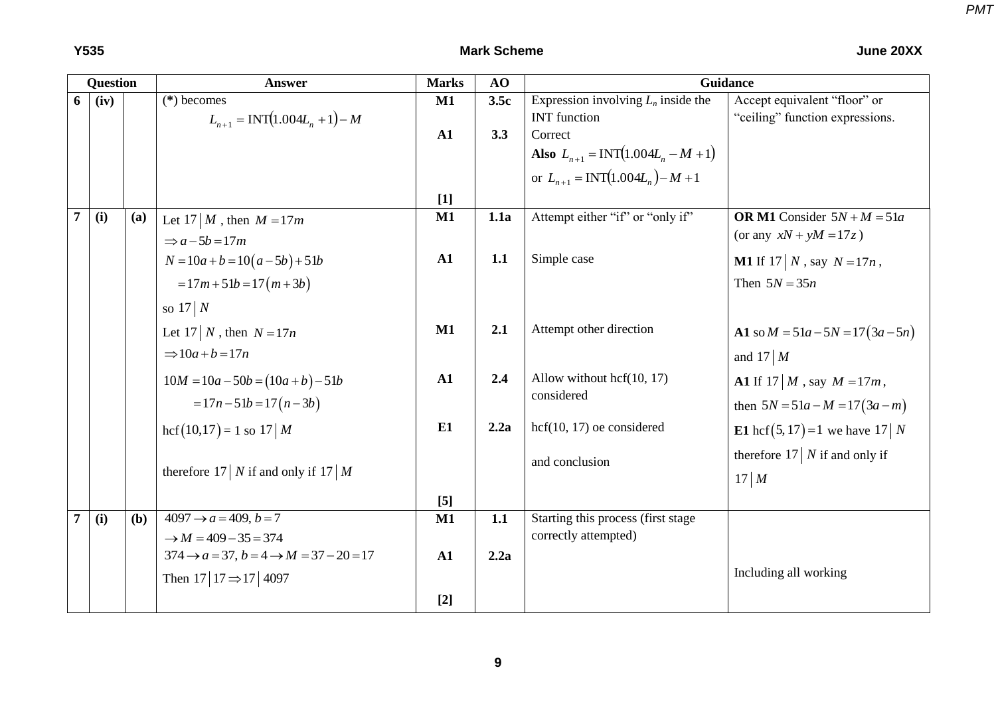|                | <b>Question</b> |     | Answer                                                       | <b>Marks</b>     | AO   |                                        | Guidance                                   |
|----------------|-----------------|-----|--------------------------------------------------------------|------------------|------|----------------------------------------|--------------------------------------------|
| 6 <sup>1</sup> | (iv)            |     | $(*)$ becomes                                                | M1               | 3.5c | Expression involving $L_n$ inside the  | Accept equivalent "floor" or               |
|                |                 |     | $L_{n+1} = \text{INT}(1.004L_n + 1) - M$                     |                  |      | <b>INT</b> function                    | "ceiling" function expressions.            |
|                |                 |     |                                                              | ${\bf A1}$       | 3.3  | Correct                                |                                            |
|                |                 |     |                                                              |                  |      | Also $L_{n+1} = INT(1.004L_n - M + 1)$ |                                            |
|                |                 |     |                                                              |                  |      | or $L_{n+1} = INT(1.004L_n) - M + 1$   |                                            |
|                |                 |     |                                                              | $[1]$            |      |                                        |                                            |
| $\overline{7}$ | (i)             | (a) | Let 17   M, then $M = 17m$                                   | M1               | 1.1a | Attempt either "if" or "only if"       | OR M1 Consider $5N + M = 51a$              |
|                |                 |     | $\Rightarrow$ a - 5b = 17m                                   |                  |      |                                        | (or any $xN + yM = 17z$ )                  |
|                |                 |     | $N = 10a + b = 10(a - 5b) + 51b$                             | ${\bf A1}$       | 1.1  | Simple case                            | <b>M1</b> If 17   N, say $N = 17n$ ,       |
|                |                 |     | $=17m+51b=17(m+3b)$                                          |                  |      |                                        | Then $5N = 35n$                            |
|                |                 |     | so $17 \mid N$                                               |                  |      |                                        |                                            |
|                |                 |     | Let 17   N, then $N = 17n$                                   | M1               | 2.1  | Attempt other direction                | A1 so $M = 51a - 5N = 17(3a - 5n)$         |
|                |                 |     | $\Rightarrow 10a + b = 17n$                                  |                  |      |                                        | and $17 \mid M$                            |
|                |                 |     | $10M = 10a - 50b = (10a + b) - 51b$                          | ${\bf A1}$       | 2.4  | Allow without $\text{hcf}(10, 17)$     | <b>A1</b> If $17 \mid M$ , say $M = 17m$ , |
|                |                 |     | $= 17n - 51b = 17(n - 3b)$                                   |                  |      | considered                             | then $5N = 51a - M = 17(3a - m)$           |
|                |                 |     | $\text{hcf}(10,17) = 1$ so 17   M                            | E1               | 2.2a | $hcf(10, 17)$ oe considered            | <b>E1</b> hcf(5, 17) = 1 we have 17   N    |
|                |                 |     |                                                              |                  |      | and conclusion                         | therefore 17 $\mid$ N if and only if       |
|                |                 |     | therefore 17   N if and only if 17   M                       |                  |      |                                        | 17 M                                       |
|                |                 |     |                                                              | $\left[5\right]$ |      |                                        |                                            |
| $\overline{7}$ | (i)             | (b) | $4097 \rightarrow a = 409, b = 7$                            | M1               | 1.1  | Starting this process (first stage     |                                            |
|                |                 |     | $\rightarrow M = 409 - 35 = 374$                             |                  |      | correctly attempted)                   |                                            |
|                |                 |     | $374 \rightarrow a = 37, b = 4 \rightarrow M = 37 - 20 = 17$ | ${\bf A1}$       | 2.2a |                                        |                                            |
|                |                 |     | Then $17 17 \Rightarrow 17 4097$                             |                  |      |                                        | Including all working                      |
|                |                 |     |                                                              | $[2]$            |      |                                        |                                            |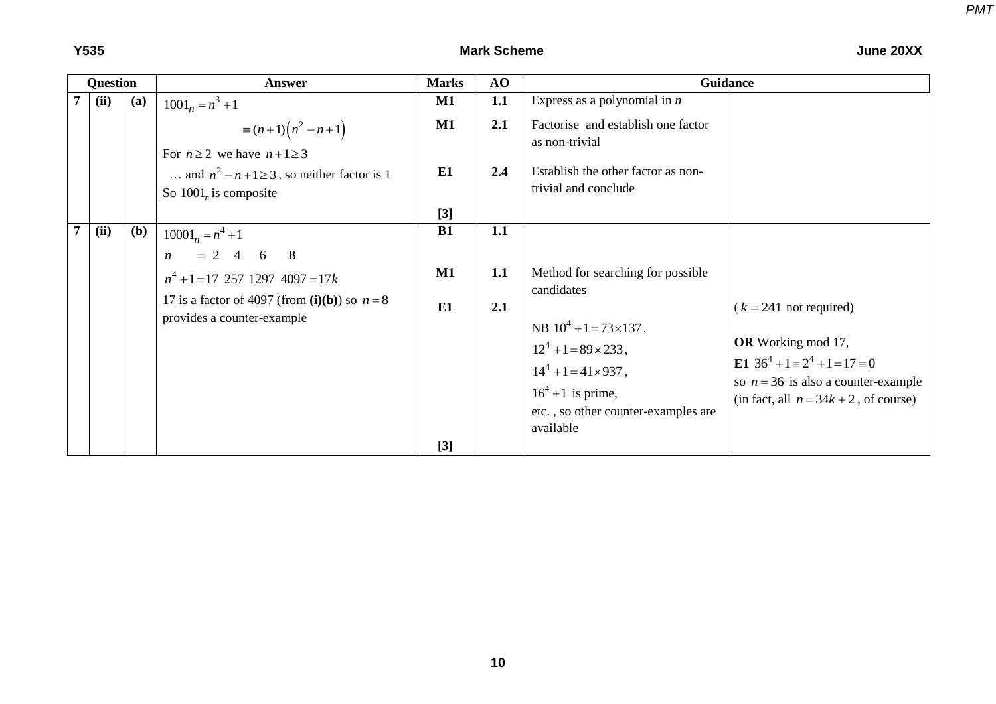#### **Y535 Mark Scheme June 20XX**

| Question |     | Answer                                                                                                                                                         | <b>Marks</b>   | AO                | Guidance                                                                                                                                                                                                           |                                                                                                                                                                                          |
|----------|-----|----------------------------------------------------------------------------------------------------------------------------------------------------------------|----------------|-------------------|--------------------------------------------------------------------------------------------------------------------------------------------------------------------------------------------------------------------|------------------------------------------------------------------------------------------------------------------------------------------------------------------------------------------|
| (ii)     | (a) | $1001_n = n^3 + 1$                                                                                                                                             | $\mathbf{M1}$  | 1.1               | Express as a polynomial in $n$                                                                                                                                                                                     |                                                                                                                                                                                          |
|          |     | $\equiv (n+1)(n^2-n+1)$<br>For $n \ge 2$ we have $n+1 \ge 3$                                                                                                   | $\mathbf{M1}$  | 2.1               | Factorise and establish one factor<br>as non-trivial                                                                                                                                                               |                                                                                                                                                                                          |
|          |     | and $n^2 - n + 1 \ge 3$ , so neither factor is 1<br>So $1001n$ is composite                                                                                    | E1             | 2.4               | Establish the other factor as non-<br>trivial and conclude                                                                                                                                                         |                                                                                                                                                                                          |
|          |     |                                                                                                                                                                | $[3]$          |                   |                                                                                                                                                                                                                    |                                                                                                                                                                                          |
| (ii)     | (b) | $10001_n = n^4 + 1$<br>$n = 2$ 4 6 8<br>$n^4 + 1 = 17$ 257 1297 4097 = 17k<br>17 is a factor of 4097 (from $(i)(b)$ ) so $n = 8$<br>provides a counter-example | B1<br>M1<br>E1 | 1.1<br>1.1<br>2.1 | Method for searching for possible<br>candidates<br>NB $10^4$ +1=73×137,<br>$12^4 + 1 = 89 \times 233$ ,<br>$14^4 + 1 = 41 \times 937$ ,<br>$16^4$ +1 is prime,<br>etc., so other counter-examples are<br>available | $(k = 241$ not required)<br><b>OR</b> Working mod 17,<br>E1 $36^4 + 1 \equiv 2^4 + 1 = 17 \equiv 0$<br>so $n = 36$ is also a counter-example<br>(in fact, all $n = 34k + 2$ , of course) |
|          |     |                                                                                                                                                                | $[3]$          |                   |                                                                                                                                                                                                                    |                                                                                                                                                                                          |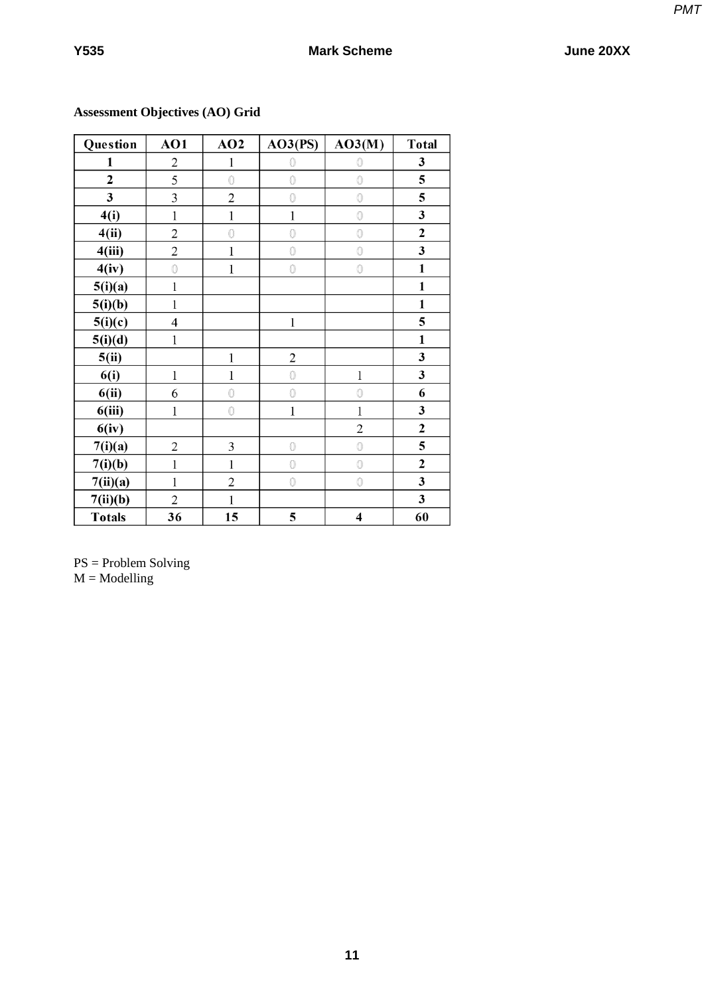| Question                | AO1            | AO2            | AO3(PS)        | AO3(M)                  | <b>Total</b>   |
|-------------------------|----------------|----------------|----------------|-------------------------|----------------|
| 1                       | $\overline{2}$ | 1              | 0              | 0                       | 3              |
| $\overline{2}$          | 5              | $\circledcirc$ | $\circledcirc$ | $\circledcirc$          | 5              |
| $\overline{\mathbf{3}}$ | $\overline{3}$ | $\overline{2}$ | $\circledcirc$ | $\circledcirc$          | 5              |
| 4(i)                    | 1              | $\mathbf{1}$   | 1              | $\circledcirc$          | 3              |
| 4(ii)                   | $\overline{c}$ | $\circledcirc$ | $\circledcirc$ | $\circledcirc$          | $\overline{2}$ |
| 4(iii)                  | $\overline{c}$ | 1              | $\circledcirc$ | $\circledcirc$          | 3              |
| 4(iv)                   | $\circledcirc$ | 1              | $\circledcirc$ | $\circledcirc$          | $\mathbf{1}$   |
| 5(i)(a)                 | $\mathbf{1}$   |                |                |                         | $\mathbf{1}$   |
| 5(i)(b)                 | $\mathbf 1$    |                |                |                         | $\mathbf{1}$   |
| 5(i)(c)                 | $\overline{4}$ |                | 1              |                         | 5              |
| 5(i)(d)                 | $\mathbf{1}$   |                |                |                         | $\mathbf{1}$   |
| 5(ii)                   |                | 1              | $\overline{c}$ |                         | 3              |
| 6(i)                    | $\mathbf{1}$   | 1              | $\circledcirc$ | $\,1$                   | 3              |
| 6(ii)                   | 6              | $\circledcirc$ | $\circledcirc$ | $\circledcirc$          | 6              |
| 6(iii)                  | 1              | $\circledcirc$ | 1              | 1                       | 3              |
| 6(iv)                   |                |                |                | $\overline{2}$          | $\overline{2}$ |
| 7(i)(a)                 | $\overline{c}$ | 3              | $\circledcirc$ | $\circledcirc$          | 5              |
| 7(i)(b)                 | 1              | 1              | $\circledcirc$ | $\circledcirc$          | $\overline{2}$ |
| 7(ii)(a)                | 1              | $\overline{c}$ | $\circledcirc$ | $\circledcirc$          | 3              |
| 7(ii)(b)                | $\overline{2}$ | 1              |                |                         | 3              |
| <b>Totals</b>           | 36             | 15             | 5              | $\overline{\mathbf{4}}$ | 60             |

# **Assessment Objectives (AO) Grid**

PS = Problem Solving  $M =$ Modelling